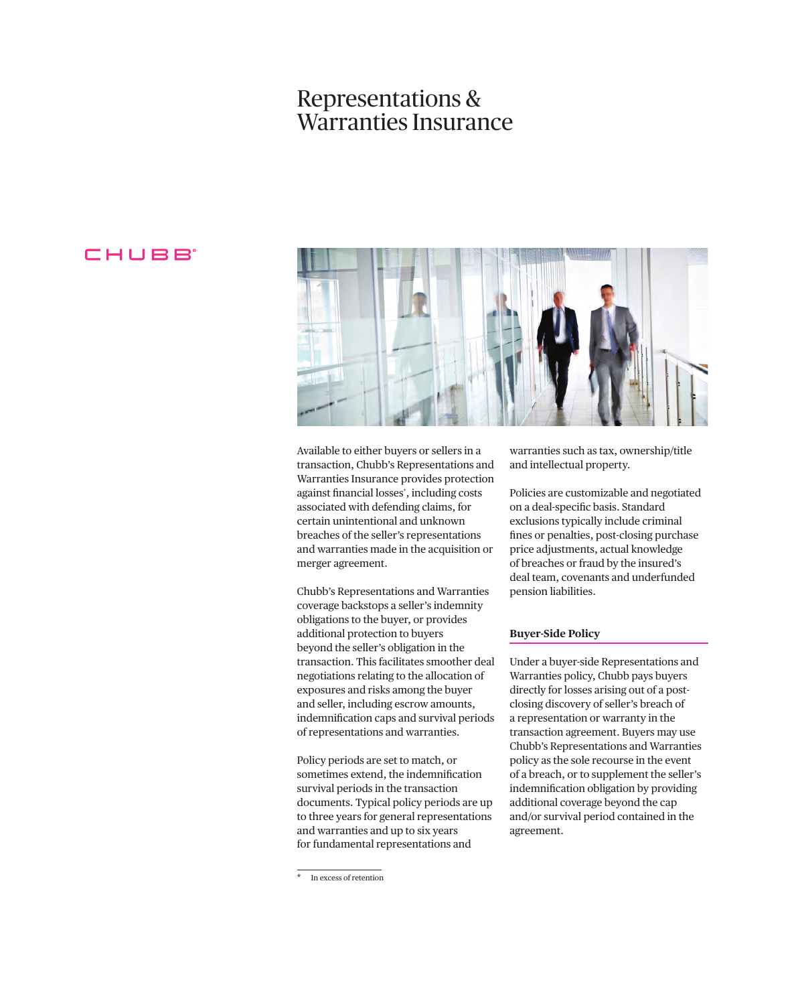# Representations & Warranties Insurance

## CHUBB<sup>®</sup>



Available to either buyers or sellers in a transaction, Chubb's Representations and Warranties Insurance provides protection against fnancial losses\* , including costs associated with defending claims, for certain unintentional and unknown breaches of the seller's representations and warranties made in the acquisition or merger agreement.

Chubb's Representations and Warranties coverage backstops a seller's indemnity obligations to the buyer, or provides additional protection to buyers beyond the seller's obligation in the transaction. This facilitates smoother deal negotiations relating to the allocation of exposures and risks among the buyer and seller, including escrow amounts, indemnifcation caps and survival periods of representations and warranties.

Policy periods are set to match, or sometimes extend, the indemnifcation survival periods in the transaction documents. Typical policy periods are up to three years for general representations and warranties and up to six years for fundamental representations and

warranties such as tax, ownership/title and intellectual property.

Policies are customizable and negotiated on a deal-specifc basis. Standard exclusions typically include criminal fnes or penalties, post-closing purchase price adjustments, actual knowledge of breaches or fraud by the insured's deal team, covenants and underfunded pension liabilities.

### **Buyer-Side Policy**

Under a buyer-side Representations and Warranties policy, Chubb pays buyers directly for losses arising out of a postclosing discovery of seller's breach of a representation or warranty in the transaction agreement. Buyers may use Chubb's Representations and Warranties policy as the sole recourse in the event of a breach, or to supplement the seller's indemnifcation obligation by providing additional coverage beyond the cap and/or survival period contained in the agreement.

In excess of retention